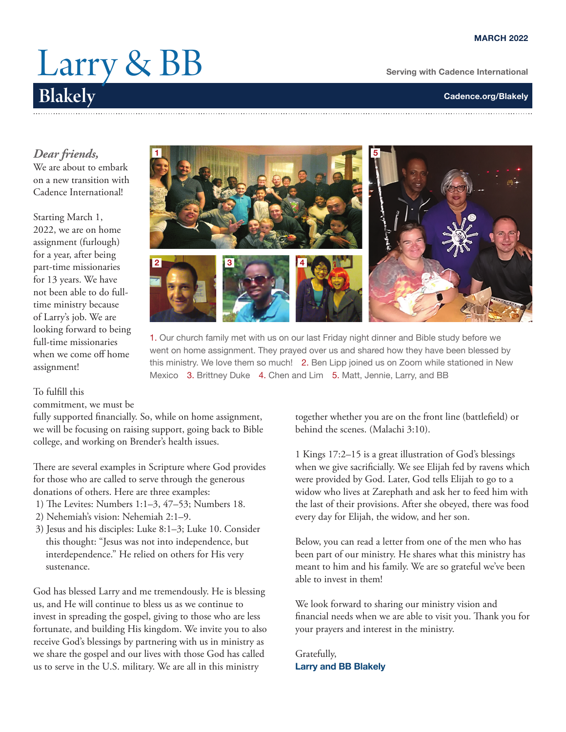## Larry & BB Blakely

**Serving with Cadence International**

*Dear friends,*

We are about to embark on a new transition with Cadence International!

Starting March 1, 2022, we are on home assignment (furlough) for a year, after being part-time missionaries for 13 years. We have not been able to do fulltime ministry because of Larry's job. We are looking forward to being full-time missionaries when we come off home assignment!



1. Our church family met with us on our last Friday night dinner and Bible study before we went on home assignment. They prayed over us and shared how they have been blessed by this ministry. We love them so much! 2. Ben Lipp joined us on Zoom while stationed in New Mexico 3. Brittney Duke 4. Chen and Lim 5. Matt, Jennie, Larry, and BB

## To fulfill this

commitment, we must be

fully supported financially. So, while on home assignment, we will be focusing on raising support, going back to Bible college, and working on Brender's health issues.

There are several examples in Scripture where God provides for those who are called to serve through the generous donations of others. Here are three examples:

- 1) The Levites: Numbers 1:1–3, 47–53; Numbers 18.
- 2) Nehemiah's vision: Nehemiah 2:1–9.
- 3) Jesus and his disciples: Luke 8:1–3; Luke 10. Consider this thought: "Jesus was not into independence, but interdependence." He relied on others for His very sustenance.

God has blessed Larry and me tremendously. He is blessing us, and He will continue to bless us as we continue to invest in spreading the gospel, giving to those who are less fortunate, and building His kingdom. We invite you to also receive God's blessings by partnering with us in ministry as we share the gospel and our lives with those God has called us to serve in the U.S. military. We are all in this ministry

together whether you are on the front line (battlefield) or behind the scenes. (Malachi 3:10).

1 Kings 17:2–15 is a great illustration of God's blessings when we give sacrificially. We see Elijah fed by ravens which were provided by God. Later, God tells Elijah to go to a widow who lives at Zarephath and ask her to feed him with the last of their provisions. After she obeyed, there was food every day for Elijah, the widow, and her son.

Below, you can read a letter from one of the men who has been part of our ministry. He shares what this ministry has meant to him and his family. We are so grateful we've been able to invest in them!

We look forward to sharing our ministry vision and financial needs when we are able to visit you. Thank you for your prayers and interest in the ministry.

Gratefully, **Larry and BB Blakely**